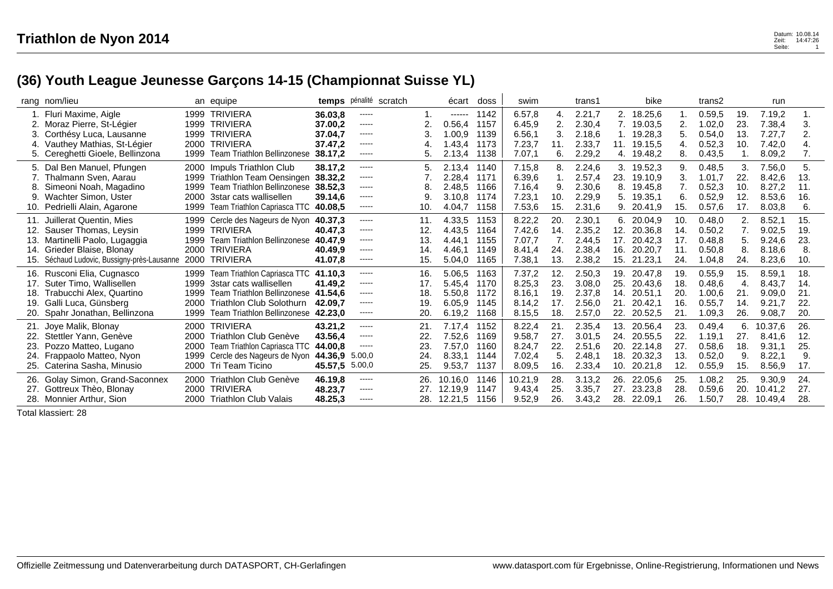## **(36) Youth League Jeunesse Garçons 14-15 (Championnat Suisse YL)**

|     | rang nom/lieu                                  |      | an equipe                          |                    | temps pénalité scratch |     | écart            | doss         | swim             |          | trans1           |     | bike                     |     | trans2           |            | run              |     |
|-----|------------------------------------------------|------|------------------------------------|--------------------|------------------------|-----|------------------|--------------|------------------|----------|------------------|-----|--------------------------|-----|------------------|------------|------------------|-----|
|     | Fluri Maxime, Aigle<br>Moraz Pierre, St-Légier |      | 1999 TRIVIERA<br>1999 TRIVIERA     | 36.03.8<br>37.00,2 | -----<br>-----         |     | ------<br>0.56,4 | 1142<br>1157 | 6.57,8<br>6.45,9 | 4.<br>2. | 2.21,7<br>2.30,4 |     | 2. 18.25,6<br>7. 19.03,5 | 2.  | 0.59,5<br>1.02,0 | 19.<br>23. | 7.19.2<br>7.38,4 | 3.  |
| З.  | Corthésy Luca, Lausanne                        |      | 1999 TRIVIERA                      | 37.04,7            | $- - - - -$            |     | 1.00.9           | 1139         | 6.56,1           | 3.       | 2.18,6           |     | 1. 19.28,3               | 5.  | 0.54,0           | 13.        | 7.27,7           | 2.  |
| 4.  | Vauthey Mathias, St-Légier                     |      | 2000 TRIVIERA                      | 37.47,2            | $- - - - -$            |     | 1.43,4           | 1173         | 7.23,7           | 11.      | 2.33,7           | 11. | 19.15,5                  | 4.  | 0.52,3           | 10.        | 7.42,0           |     |
|     | 5. Cereghetti Gioele, Bellinzona               |      | 1999 Team Triathlon Bellinzonese   | 38.17,2            | $- - - - -$            |     | 2.13,4           | 1138         | 7.07,1           | 6.       | 2.29,2           |     | 4. 19.48,2               | 8.  | 0.43,5           |            | 8.09,2           | 7.  |
|     | 5. Dal Ben Manuel, Pfungen                     |      | 2000 Impuls Triathlon Club         | 38.17.2            | $- - - - -$            |     | 2.13,4           | 1140         | 7.15,8           | 8.       | 2.24,6           |     | 3. 19.52,3               | 9.  | 0.48,5           | 3.         | 7.56,0           | 5.  |
|     | Thalmann Sven, Aarau                           |      | 1999 Triathlon Team Oensingen      | 38,32.2            | $- - - - -$            |     | 2.28,4           | 1171         | 6.39,6           |          | 2.57,4           | 23. | 19.10,9                  | 3.  | 1.01,7           | 22.        | 8.42,6           | 13. |
|     | Simeoni Noah, Magadino                         | 1999 | Team Triathlon Bellinzonese        | 38.52.3            | -----                  |     | 2.48.5           | 1166         | 7.16,4           | 9.       | 2.30,6           | 8.  | 19.45,8                  | 7.  | 0.52,3           | 10.        | 8.27,2           | 11. |
| 9.  | Wachter Simon, Uster                           | 2000 | 3star cats wallisellen             | 39.14.6            | -----                  |     | 3.10.8           | 1174         | 7.23,1           | 10.      | 2.29,9           | 5.  | 19.35,1                  | 6.  | 0.52,9           | 12.        | 8.53,6           | 16. |
|     | Pedrielli Alain, Agarone                       |      | 1999 Team Triathlon Capriasca TTC  | 40.08,5            | -----                  | 10. | 4.04,7           | 1158         | 7.53,6           | 15.      | 2.31,6           |     | 9. 20.41,9               | 15. | 0.57, 6          | 17.        | 8.03,8           | 6.  |
| 11. | Juillerat Quentin, Mies                        |      | 1999 Cercle des Nageurs de Nyon    | 40.37.3            | -----                  | 11. | 4.33,5           | 1153         | 8.22,2           | 20.      | 2.30,1           |     | 6. 20.04,9               | 10. | 0.48,0           | 2.         | 8.52,1           | 15. |
| 12. | Sauser Thomas, Leysin                          |      | 1999 TRIVIERA                      | 40.47,3            | -----                  | 12. | 4.43,5           | 1164         | 7.42,6           | 14.      | 2.35,2           | 12. | 20.36.8                  | 14. | 0.50,2           | 7.         | 9.02,5           | 19. |
| 13. | Martinelli Paolo, Lugaggia                     |      | 1999 Team Triathlon Bellinzonese   | 40.47,9            | -----                  | 13. | 4.44,1           | 1155         | 7.07,7           | 7.       | 2.44,5           | 17. | 20.42,3                  | 17. | 0.48,8           | 5.         | 9.24,6           | 23. |
|     | 14. Grieder Blaise, Blonay                     |      | 2000 TRIVIERA                      | 40.49,9            | -----                  | 14. | 4.46.1           | 1149         | 8.41.4           | 24.      | 2.38,4           | 16. | 20.20,7                  | 11. | 0.50,8           | 8.         | 8.18,6           | 8.  |
| 15. | Séchaud Ludovic, Bussigny-près-Lausanne        |      | 2000 TRIVIERA                      | 41.07,8            | $\cdots$               | 15. | 5.04,0           | 1165         | 7.38,1           | 13.      | 2.38,2           | 15. | 21.23,1                  | 24. | 1.04,8           | 24.        | 8.23,6           | 10. |
|     | 16. Rusconi Elia, Cugnasco                     |      | 1999 Team Triathlon Capriasca TTC  | 41.10.3            | -----                  | 16. | 5.06,5           | 1163         | 7.37,2           | 12.      | 2.50,3           | 19. | 20.47,8                  | 19. | 0.55,9           | 15.        | 8.59,1           | 18. |
| 17. | Suter Timo, Wallisellen                        |      | 1999 3star cats wallisellen        | 41.49.2            | $- - - - -$            | 17. | 5.45.4           | 1170         | 8.25,3           | 23.      | 3.08.0           | 25. | 20.43.6                  | 18. | 0.48,6           | 4.         | 8.43,7           | 14. |
| 18. | Trabucchi Alex, Quartino                       | 1999 | Team Triathlon Bellinzonese        | 41.54.6            | $- - - - -$            | 18. | 5.50,8           | 1172         | 8.16,1           | 19.      | 2.37,8           | 14. | 20.51,1                  | 20. | 1.00,6           | 21.        | 9.09,0           | 21. |
| 19. | Galli Luca, Günsberg                           | 2000 | <b>Triathlon Club Solothurn</b>    | 42.09.7            | -----                  | 19. | 6.05,9           | 1145         | 8.14,2           | 17.      | 2.56,0           | 21  | 20.42,1                  | 16. | 0.55,7           | 14.        | 9.21,7           | 22. |
|     | Spahr Jonathan, Bellinzona                     |      | 1999 Team Triathlon Bellinzonese   | 42.23.0            | -----                  | 20. | 6.19,2           | 1168         | 8.15,5           | 18.      | 2.57,0           | 22. | 20.52,5                  | 21. | 1.09,3           | 26.        | 9.08,7           | 20. |
| 21. | Joye Malik, Blonay                             |      | 2000 TRIVIERA                      | 43.21,2            | -----                  | 21. | 7.17,4           | 1152         | 8.22,4           | 21       | 2.35,4           | 13. | 20.56,4                  | 23. | 0.49,4           | 6.         | 10.37,6          | 26. |
|     | Stettler Yann, Genève                          |      | 2000 Triathlon Club Genève         | 43.56,4            | $- - - - -$            | 22. | 7.52,6           | 1169         | 9.58,7           | 27.      | 3.01,5           | 24. | 20.55,5                  | 22. | .19.1            | 27.        | 8.41,6           | 12. |
| 23. | Pozzo Matteo, Lugano                           |      | 2000 Team Triathlon Capriasca TTC  | 44.00,8            | -----                  | 23. | 7.57,0           | 1160         | 8.24,7           | 22.      | 2.51,6           | 20. | 22.14,8                  | 27. | 0.58,6           | 18.        | 9.31,1           | 25. |
| 24. | Frappaolo Matteo, Nyon                         | 1999 | Cercle des Nageurs de Nyon 44.36,9 |                    | 5.00,0                 | 24. | 8.33,1           | 1144         | 7.02,4           | 5.       | 2.48,1           | 18. | 20.32,3                  | 13. | 0.52,0           | 9.         | 8.22,1           | 9.  |
|     | 25. Caterina Sasha, Minusio                    |      | 2000 Tri Team Ticino               | 45.57,5 5.00,0     |                        | 25. | 9.53,7           | 1137         | 8.09,5           | 16.      | 2.33,4           | 10. | 20.21,8                  | 12. | 0.55,9           | 15.        | 8.56,9           | 17. |
| 26. | Golay Simon, Grand-Saconnex                    |      | 2000 Triathlon Club Genève         | 46.19,8            | -----                  | 26. | 10.16,0          | 1146         | 10.21,9          | 28.      | 3.13,2           | 26. | 22.05,6                  | 25. | 1.08,2           | 25.        | 9.30,9           | 24. |
|     | 27. Gottreux Thèo, Blonay                      |      | 2000 TRIVIERA                      | 48.23,7            | $- - - - -$            | 27  | 12.19,9          | 1147         | 9.43,4           | 25.      | 3.35,7           | 27. | 23.23,8                  | 28. | 0.59,6           | 20.        | 10.41,2          | 27. |
|     | 28. Monnier Arthur. Sion                       |      | 2000 Triathlon Club Valais         | 48.25,3            | $- - - - -$            |     | 12.21,5          | 1156         | 9.52,9           | 26.      | 3.43.2           | 28. | 22.09.1                  | 26. | .50,7            | 28.        | 10.49,4          | 28. |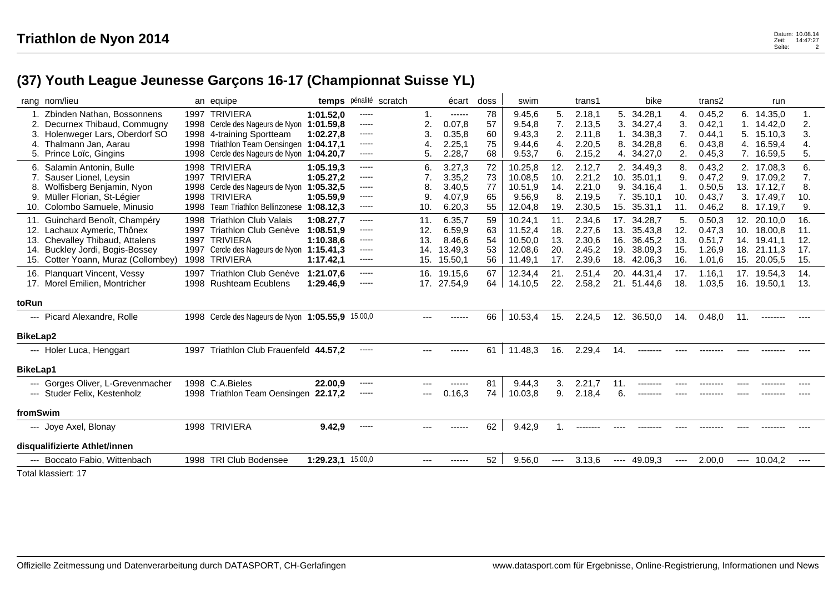## **(37) Youth League Jeunesse Garçons 16-17 (Championnat Suisse YL)**

|                 | rang nom/lieu                                   |      | an equipe                                         | temps             | pénalité scratch |       | écart       | doss | swim    |          | trans1   |      | bike        |        | trans2 |      | run         |          |
|-----------------|-------------------------------------------------|------|---------------------------------------------------|-------------------|------------------|-------|-------------|------|---------|----------|----------|------|-------------|--------|--------|------|-------------|----------|
|                 | Zbinden Nathan, Bossonnens                      |      | 1997 TRIVIERA                                     | 1:01.52.0         | -----            |       | ------      | 78   | 9.45,6  | 5.       | 2.18,1   | 5.   | 34.28,1     | 4.     | 0.45,2 |      | 6. 14.35,0  | 1.       |
|                 | Decurnex Thibaud, Commugny                      |      | 1998 Cercle des Nageurs de Nyon                   | 1:01.59.8         | $\cdots$         | 2.    | 0.07,8      | 57   | 9.54,8  | 7.       | 2.13,5   | 3.   | 34.27,4     | 3.     | 0.42,1 | 1.   | 14.42,0     | 2.       |
| 3.              | Holenweger Lars, Oberdorf SO                    |      | 1998 4-training Sportteam                         | 1:02.27.8         | $\cdots$         | 3.    | 0.35,8      | 60   | 9.43,3  | 2.       | 2.11,8   |      | 34.38,3     | 7.     | 0.44,1 | 5.   | 15.10,3     | 3.       |
| 4.              | Thalmann Jan. Aarau                             | 1998 | Triathlon Team Oensingen                          | 1:04.17.1         | $- - - - -$      | 4.    | 2.25,1      | 75   | 9.44.6  | 4.       | 2.20,5   | 8.   | 34.28,8     | 6.     | 0.43,8 | 4.   | 16.59,4     | 4.       |
| 5.              | Prince Loïc, Gingins                            |      | 1998 Cercle des Nageurs de Nyon                   | 1:04.20.7         | $\cdots$         | 5.    | 2.28,7      | 68   | 9.53,7  | 6.       | 2.15,2   | 4.   | 34.27,0     | 2.     | 0.45,3 |      | 7. 16.59,5  | 5.       |
| 6.              | Salamin Antonin, Bulle                          |      | 1998 TRIVIERA                                     | 1:05.19,3         | $\cdots$         | 6.    | 3.27,3      | 72   | 10.25,8 | 12.      | 2.12,7   |      | 2. 34.49,3  | 8.     | 0.43,2 |      | 2. 17.08,3  | 6.       |
|                 | Sauser Lionel, Leysin                           |      | 1997 TRIVIERA                                     | 1:05.27,2         | $\cdots \cdots$  |       | 3.35,2      | 73   | 10.08,5 | 10.      | 2.21,2   | 10.  | 35.01,1     | 9.     | 0.47,2 | 9.   | 17.09,2     | 7.       |
|                 | 8. Wolfisberg Benjamin, Nyon                    |      | 1998 Cercle des Nageurs de Nyon                   | 1:05.32.5         | $\cdots$         | 8     | 3.40.5      | 77   | 10.51.9 | 14.      | 2.21,0   |      | 9. 34.16,4  | 1.     | 0.50,5 |      | 13. 17.12,7 | 8.       |
|                 | 9. Müller Florian, St-Légier                    |      | 1998 TRIVIERA                                     | 1:05.59.9         | $- - - - -$      | 9     | 4.07,9      | 65   | 9.56,9  | 8.       | 2.19,5   | 7.   | 35.10.1     | 10.    | 0.43,7 |      | 3. 17.49,7  | 10.      |
|                 | 10. Colombo Samuele, Minusio                    |      | 1998 Team Triathlon Bellinzonese                  | 1:08.12,3         | $- - - - -$      | 10.   | 6.20,3      | 55   | 12.04,8 | 19.      | 2.30,5   |      | 15. 35.31,1 | 11.    | 0.46,2 |      | 8. 17.19,7  | 9.       |
|                 | 11. Guinchard Benoît, Champéry                  |      | 1998 Triathlon Club Valais                        | 1:08.27.7         | $\cdots$         | 11.   | 6.35,7      | 59   | 10.24,1 | 11.      | 2.34,6   |      | 17. 34.28,7 | 5.     | 0.50,3 | 12.  | 20.10,0     | 16.      |
|                 | 12. Lachaux Aymeric, Thônex                     |      | 1997 Triathlon Club Genève                        | 1:08.51.9         | $\cdots$         | 12.   | 6.59.9      | 63   | 11.52,4 | 18.      | 2.27,6   | 13.  | 35.43,8     | 12.    | 0.47,3 | 10.  | 18.00.8     | 11.      |
|                 | 13. Chevalley Thibaud, Attalens                 | 1997 | TRIVIERA                                          | 1:10.38.6         | $\cdots$         | 13.   | 8.46,6      | 54   | 10.50,0 | 13.      | 2.30,6   | 16.  | 36.45,2     | 13.    | 0.51,7 | 14.  | 19.41,1     | 12.      |
| 14.             | Buckley Jordi, Bogis-Bossey                     | 1997 | Cercle des Nageurs de Nyon                        | 1:15.41,3         |                  | 14.   | 13.49,3     | 53   | 12.08,6 | 20.      | 2.45,2   | 19.  | 38.09,3     | 15.    | 1.26,9 | 18.  | 21.11,3     | 17.      |
|                 | 15. Cotter Yoann, Muraz (Collombey)             |      | 1998 TRIVIERA                                     | 1:17.42,1         |                  | 15.   | 15.50,1     | 56   | 11.49,1 | 17.      | 2.39,6   | 18.  | 42.06,3     | 16.    | 1.01,6 | 15.  | 20.05,5     | 15.      |
|                 | 16. Planquart Vincent, Vessy                    |      | 1997 Triathlon Club Genève                        | 1:21.07.6         | $\cdots$         |       | 16. 19.15,6 | 67   | 12.34,4 | 21.      | 2.51,4   |      | 20. 44.31,4 | 17.    | 1.16,1 |      | 17. 19.54,3 | 14.      |
|                 | 17. Morel Emilien, Montricher                   |      | 1998 Rushteam Ecublens                            | 1:29.46.9         | -----            |       | 17. 27.54,9 | 64   | 14.10,5 | 22.      | 2.58,2   |      | 21. 51.44,6 | 18.    | 1.03,5 | 16.  | 19.50,1     | 13.      |
|                 |                                                 |      |                                                   |                   |                  |       |             |      |         |          |          |      |             |        |        |      |             |          |
| toRun           |                                                 |      |                                                   |                   |                  |       |             |      |         |          |          |      |             |        |        |      |             |          |
|                 | --- Picard Alexandre, Rolle                     |      | 1998 Cercle des Nageurs de Nyon 1:05.55,9 15.00,0 |                   |                  |       |             | 66   | 10.53,4 | 15.      | 2.24,5   |      | 12. 36.50,0 | 14.    | 0.48,0 | 11   |             |          |
| BikeLap2        |                                                 |      |                                                   |                   |                  |       |             |      |         |          |          |      |             |        |        |      |             |          |
|                 |                                                 |      |                                                   |                   |                  |       |             |      |         |          |          |      |             |        |        |      |             |          |
|                 | --- Holer Luca, Henggart                        | 1997 | Triathlon Club Frauenfeld 44.57.2                 |                   | $\cdots$         |       | ------      | 61   | 11.48.3 | 16.      | 2.29,4   | 14.  | --------    |        |        |      |             |          |
| <b>BikeLap1</b> |                                                 |      |                                                   |                   |                  |       |             |      |         |          |          |      |             |        |        |      |             |          |
|                 | --- Gorges Oliver, L-Grevenmacher               |      | 1998 C.A.Bieles                                   | 22.00,9           | -----            |       | ------      | 81   | 9.44,3  | 3.       | 2.21,7   | 11.  |             |        |        |      |             |          |
|                 | --- Studer Felix, Kestenholz                    |      | 1998 Triathlon Team Oensingen                     | 22.17,2           | -----            |       | 0.16,3      | 74   | 10.03,8 | 9.       | 2.18,4   | 6.   |             |        |        |      |             |          |
|                 |                                                 |      |                                                   |                   |                  |       |             |      |         |          |          |      |             |        |        |      |             |          |
| fromSwim        |                                                 |      |                                                   |                   |                  |       |             |      |         |          |          |      |             |        |        |      |             |          |
|                 | --- Joye Axel, Blonay                           |      | 1998 TRIVIERA                                     | 9.42,9            | $- - - - -$      |       | ------      | 62   | 9.42,9  |          | -------- |      |             |        |        |      |             |          |
|                 | disqualifizierte Athlet/innen                   |      |                                                   |                   |                  |       |             |      |         |          |          |      |             |        |        |      |             |          |
|                 | --- Boccato Fabio, Wittenbach                   |      | 1998 TRI Club Bodensee                            | 1:29.23,1 15.00,0 |                  | $---$ | ------      | 52   | 9.56,0  | $\cdots$ | 3.13,6   | ---- | 49.09,3     | $-- -$ | 2.00,0 | ---- | 10.04.2     | $\cdots$ |
|                 | $T_{\text{total}}$ black and $A$ $\overline{z}$ |      |                                                   |                   |                  |       |             |      |         |          |          |      |             |        |        |      |             |          |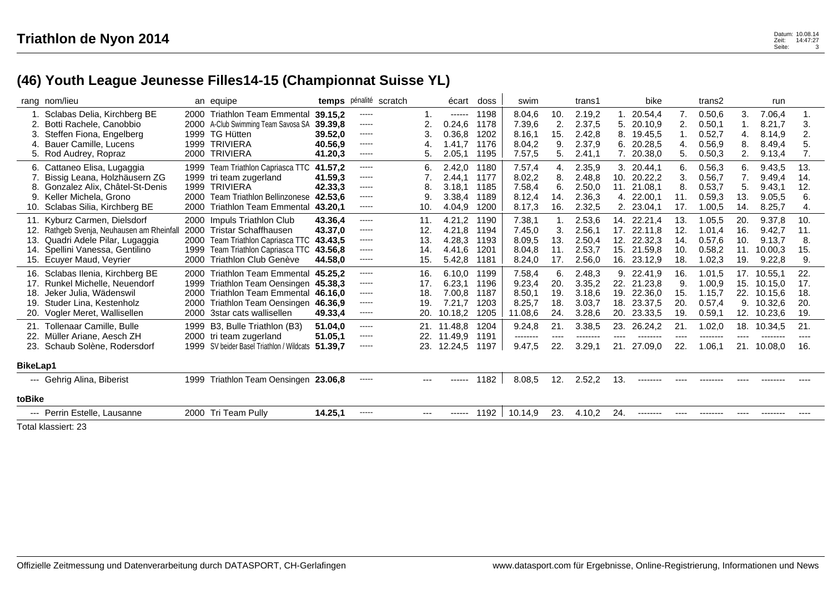## **(46) Youth League Jeunesse Filles14-15 (Championnat Suisse YL)**

|                 | rang nom/lieu                                                                                                                                                                 |                                      | an equipe                                                                                                                                                            |                                                     |                                                       | temps pénalité scratch |                                 | écart                                           | doss                                 | swim                                            |                                | trans1                                         | bike                                                                               |                                             | trans2                                          |                                 | run                                                 |                                 |
|-----------------|-------------------------------------------------------------------------------------------------------------------------------------------------------------------------------|--------------------------------------|----------------------------------------------------------------------------------------------------------------------------------------------------------------------|-----------------------------------------------------|-------------------------------------------------------|------------------------|---------------------------------|-------------------------------------------------|--------------------------------------|-------------------------------------------------|--------------------------------|------------------------------------------------|------------------------------------------------------------------------------------|---------------------------------------------|-------------------------------------------------|---------------------------------|-----------------------------------------------------|---------------------------------|
|                 | 1. Sclabas Delia, Kirchberg BE<br>Botti Rachele, Canobbio<br>3. Steffen Fiona, Engelberg<br>4. Bauer Camille, Lucens<br>5. Rod Audrey, Ropraz                                 | 2000<br>2000<br>1999<br>1999         | <b>Triathlon Team Emmental</b><br>A-Club Swimming Team Savosa SA<br><b>TG Hütten</b><br><b>TRIVIERA</b><br>2000 TRIVIERA                                             | 39.15.2<br>39.39.8<br>39.52.0<br>40.56,9<br>41.20,3 | -----<br>$\cdots$<br>-----<br>-----<br>$\cdots$       |                        | 2<br>4<br>5.                    | ------<br>0.24, 6<br>0.36,8<br>1.41,7<br>2.05,1 | 1198<br>1178<br>1202<br>1176<br>1195 | 8.04,6<br>7.39,6<br>8.16,1<br>8.04,2<br>7.57,5  | 10.<br>2.<br>15.<br>9.<br>5.   | 2.19,2<br>2.37,5<br>2.42.8<br>2.37,9<br>2.41,1 | 20.54.4<br>20.10,9<br>19.45.5<br>8.<br>6. 20.28,5<br>7. 20.38,0                    | 7.<br>$\overline{2}$<br>4.<br>5.            | 0.50, 6<br>0.50,1<br>0.52,7<br>0.56,9<br>0.50,3 | 3.<br>4.<br>8.<br>2.            | 7.06.4<br>8.21,7<br>8.14,9<br>8.49,4<br>9.13,4      | 1.<br>3.<br>2.<br>5.<br>7.      |
|                 | 6. Cattaneo Elisa, Lugaggia<br>7. Bissig Leana, Holzhäusern ZG<br>8. Gonzalez Alix, Châtel-St-Denis<br>9. Keller Michela, Grono<br>10. Sclabas Silia, Kirchberg BE            | 1999<br>1999<br>2000<br>2000         | Team Triathlon Capriasca TTC<br>1999 tri team zugerland<br><b>TRIVIERA</b><br><b>Team Triathlon Bellinzonese</b><br><b>Triathlon Team Emmental</b>                   | 41.57.2<br>41.59.3<br>42.33,3<br>42.53.6<br>43.20,1 | -----<br>-----<br>$- - - - -$<br>-----<br>$- - - - -$ |                        | 6.<br>8<br>9<br>10.             | 2.42,0<br>2.44.1<br>3.18.1<br>3.38,4<br>4.04,9  | 1180<br>1177<br>1185<br>1189<br>1200 | 7.57,4<br>8.02,2<br>7.58,4<br>8.12,4<br>8.17,3  | 4.<br>8.<br>6.<br>14.<br>16.   | 2.35,9<br>2.48.8<br>2.50,0<br>2.36,3<br>2.32,5 | 3.<br>20.44.1<br>20.22,2<br>10.<br>21.08.1<br>11.<br>4. 22.00,1<br>23.04,1<br>2.   | 6.<br>3.<br>8.<br>11.<br>17.                | 0.56,3<br>0.56,7<br>0.53,7<br>0.59.3<br>1.00,5  | 6.<br>7.<br>5.<br>13.<br>14.    | 9.43,5<br>9.49.4<br>9.43,1<br>9.05,5<br>8.25,7      | 13.<br>14.<br>12.<br>6.<br>4.   |
|                 | 11. Kyburz Carmen, Dielsdorf<br>12. Rathgeb Svenja, Neuhausen am Rheinfall<br>13. Quadri Adele Pilar, Lugaggia<br>14. Spellini Vanessa, Gentilino<br>15. Ecuyer Maud, Veyrier | 1999<br>2000                         | 2000 Impuls Triathlon Club<br>2000 Tristar Schaffhausen<br>2000 Team Triathlon Capriasca TTC<br>Team Triathlon Capriasca TTC 43.56,8<br><b>Triathlon Club Genève</b> | 43.36.4<br>43.37.0<br>43.43.5<br>44.58.0            | -----<br>-----<br>-----<br>-----<br>-----             |                        | 11.<br>12.<br>13.<br>14.<br>15. | 4.21,2<br>4.21,8<br>4.28,3<br>4.41.6<br>5.42,8  | 1190<br>1194<br>1193<br>1201<br>1181 | 7.38,1<br>7.45,0<br>8.09,5<br>8.04,8<br>8.24,0  | 3.<br>13.<br>11.<br>17.        | 2.53,6<br>2.56.1<br>2.50,4<br>2.53.7<br>2.56,0 | 14. 22.21,4<br>17. 22.11.8<br>12. 22.32,3<br>21.59.8<br>15.<br>16.<br>23.12,9      | 13.<br>12.<br>14.<br>10 <sub>1</sub><br>18. | 1.05,5<br>1.01.4<br>0.57,6<br>0.58,2<br>1.02,3  | 20.<br>16.<br>10.<br>11.<br>19. | 9.37,8<br>9.42,7<br>9.13,7<br>10.00.3<br>9.22,8     | 10.<br>11.<br>8.<br>15.<br>9.   |
| 18.<br>19.      | 16. Sclabas Ilenia, Kirchberg BE<br>17. Runkel Michelle, Neuendorf<br>Jeker Julia, Wädenswil<br>Studer Lina, Kestenholz<br>Vogler Meret, Wallisellen                          | 2000<br>1999<br>2000<br>2000<br>2000 | <b>Triathlon Team Emmental</b><br>Triathlon Team Oensingen 45.38,3<br>Triathlon Team Emmental 46.16.0<br>Triathlon Team Oensingen 46.36,9<br>3star cats wallisellen  | 45.25.2<br>49.33,4                                  | -----<br>-----<br>-----<br>-----<br>$\cdots$          |                        | 16.<br>17.<br>18.<br>19.        | 6.10.0<br>6.23,1<br>7.00,8<br>7.21,7<br>10.18,2 | 1199<br>1196<br>1187<br>1203<br>1205 | 7.58,4<br>9.23,4<br>8.50,1<br>8.25,7<br>11.08,6 | 6.<br>20.<br>19.<br>18.<br>24. | 2.48,3<br>3.35,2<br>3.18,6<br>3.03,7<br>3.28,6 | 22.41,9<br>9.<br>22. 21.23.8<br>19.<br>22.36,0<br>23.37,5<br>18.<br>20.<br>23.33,5 | 16.<br>9.<br>15.<br>20.<br>19.              | 1.01,5<br>1.00.9<br>1.15,7<br>0.57,4<br>0.59,1  | 17.<br>15.<br>22.<br>9.<br>12.  | 10.55.1<br>10.15.0<br>10.15,6<br>10.32,6<br>10.23,6 | 22.<br>17.<br>18.<br>20.<br>19. |
| <b>BikeLap1</b> | 21. Tollenaar Camille, Bulle<br>22. Müller Ariane, Aesch ZH<br>23. Schaub Solène, Rodersdorf                                                                                  |                                      | 1999 B3, Bulle Triathlon (B3)<br>2000 tri team zugerland<br>1999 SV beider Basel Triathlon / Wildcats                                                                | 51.04.0<br>51.05,1<br>51.39,7                       | -----<br>$\cdots$<br>-----                            |                        | 21.<br>22.<br>23.               | 11.48.8<br>11.49,9<br>12.24,5                   | 1204<br>1191<br>1197                 | 9.24,8<br>--------<br>9.47,5                    | 21.<br>----<br>22.             | 3.38,5<br>--------<br>3.29,1                   | 23.<br>26.24,2<br>----<br>--------<br>21.<br>27.09,0                               | 21.<br>$---$<br>22.                         | 1.02,0<br>--------<br>.06,1                     | 18.<br>----<br>21.              | 10.34,5<br>--------<br>10.08,0                      | 21.<br>----<br>16.              |
| toBike          | --- Gehrig Alina, Biberist                                                                                                                                                    |                                      | 1999 Triathlon Team Oensingen 23.06,8                                                                                                                                |                                                     | -----                                                 |                        |                                 | ------                                          | 1182                                 | 8.08,5                                          | 12.                            | 2.52,2                                         | 13.<br>                                                                            |                                             |                                                 |                                 |                                                     |                                 |
|                 | --- Perrin Estelle, Lausanne                                                                                                                                                  |                                      | 2000 Tri Team Pully                                                                                                                                                  | 14.25,1                                             | -----                                                 |                        | $---$                           | ------                                          | 1192                                 | 10.14,9                                         | 23.                            | 4.10,2                                         | 24.<br>--------                                                                    | $---$                                       |                                                 |                                 |                                                     |                                 |